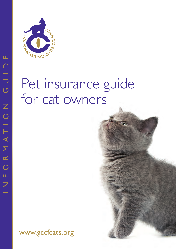

# Pet insurance guide for cat owners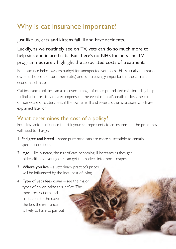# Why is cat insurance important?

Just like us, cats and kittens fall ill and have accidents.

## Luckily, as we routinely see on TV, vets can do so much more to help sick and injured cats. But there's no NHS for pets and TV programmes rarely highlight the associated costs of treatment.

Pet insurance helps owners budget for unexpected vet's fees. This is usually the reason owners choose to insure their cat(s) and is increasingly important in the current economic climate.

Cat insurance policies can also cover a range of other pet related risks including help to find a lost or stray cat, recompense in the event of a cat's death or loss, the costs of homecare or cattery fees if the owner is ill and several other situations which are explained later on.

## What determines the cost of a policy?

Four key factors influence the risk your cat represents to an insurer and the price they will need to charge:

- 1. Pedigree and breed some pure bred cats are more susceptible to certain specific conditions
- 2. Age like humans, the risk of cats becoming ill increases as they get older, although young cats can get themselves into more scrapes
- 3. Where you live  $-$  a veterinary practice's prices will be influenced by the local cost of living
- 4. Type of vet's fees cover  $-$  see the major types of cover inside this leaflet. The more restrictions and limitations to the cover, the less the insurance is likely to have to pay out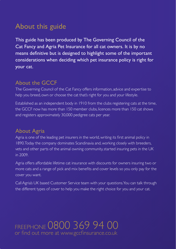## About this guide

This guide has been produced by The Governing Council of the Cat Fancy and Agria Pet Insurance for all cat owners. It is by no means definitive but is designed to highlight some of the important considerations when deciding which pet insurance policy is right for your cat.

## About the GCCF

The Governing Council of the Cat Fancy offers information, advice and expertise to help you breed, own or choose the cat that's right for you and your lifestyle.

Established as an independent body in 1910 from the clubs registering cats at the time, the GCCF now has more than 150 member clubs, licences more than 150 cat shows and registers approximately 30,000 pedigree cats per year.

### About Agria

Agria is one of the leading pet insurers in the world, writing its first animal policy in 1890. Today the company dominates Scandinavia and, working closely with breeders, vets and other parts of the animal owning community, started insuring pets in the UK in 2009.

Agria offers affordable lifetime cat insurance with discounts for owners insuring two or more cats and a range of pick and mix benefits and cover levels so you only pay for the cover you want.

Call Agria's UK based Customer Service team with your questions. You can talk through the different types of cover to help you make the right choice for you and your cat.

## FREEPHONE 0800 369 94 00 or find out more at www.gccfinsurance.co.uk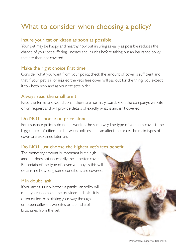# What to consider when choosing a policy?

#### Insure your cat or kitten as soon as possible

Your pet may be happy and healthy now, but insuring as early as possible reduces the chance of your pet suffering illnesses and injuries before taking out an insurance policy that are then not covered.

#### Make the right choice first time

Consider what you want from your policy, check the amount of cover is sufficient and that if your pet is ill or injured the vet's fees cover will pay out for the things you expect it to - both now and as your cat get's older.

#### Always read the small print

 Read the Terms and Conditions - these are normally available on the company's website or on request and will provide details of exactly what is and isn't covered.

#### Do NOT choose on price alone

Pet insurance policies do not all work in the same way. The type of vet's fees cover is the biggest area of difference between policies and can affect the price. The main types of cover are explained later on.

#### Do NOT just choose the highest vet's fees benefit

The monetary amount is important but a high amount does not necessarily mean better cover. Be certain of the type of cover you buy as this will determine how long some conditions are covered.

#### If in doubt, ask!

 If you aren't sure whether a particular policy will meet your needs, call the provider and ask - it is often easier than picking your way through umpteen different websites or a bundle of brochures from the vet.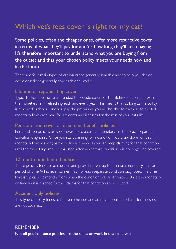# Which vet's fees cover is right for my cat?

Some policies, often the cheaper ones, offer more restrictive cover in terms of what they'll pay for and/or how long they'll keep paying. It's therefore important to understand what you are buying from the outset and that your chosen policy meets your needs now and in the future.

There are four main types of cat insurance generally available and to help you decide we've described generally how each one works:

#### Lifetime or repopulating cover

Typically these policies are intended to provide cover for the lifetime of your pet with the monetary limit refreshing each and every year. This means that, as long as the policy is renewed each year and you pay the premiums, you will be able to claim up to the full monetary limit each year for accidents and illnesses for the rest of your cat's life.

#### Per condition cover or maximum benefit policies

Per condition policies provide cover up to a certain monetary limit for each separate condition diagnosed. Once you start claiming for a condition you draw down on this monetary limit. As long as the policy is renewed you can keep claiming for that condition until the monetary limit is exhausted, after which that condition will no longer be covered.

#### 12 month time-limited policies

 These policies tend to be cheaper and provide cover up to a certain monetary limit or period of time (whichever comes first) for each separate condition diagnosed. The time limit is typically 12 months from when the condition was first treated. Once the monetary or time limit is reached further claims for that condition are excluded.

#### Accident only policies

 This type of policy tends to be even cheaper and are less popular as claims for illnesses are not covered.

#### **REMEMBER**

Not all pet insurance policies are the same or work in the same way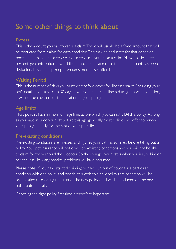## Some other things to think about

#### **Excess**

This is the amount you pay towards a claim. There will usually be a fixed amount that will be deducted from claims for each condition. This may be deducted for that condition once in a pet's lifetime, every year or every time you make a claim. Many policies have a percentage contribution toward the balance of a claim once the fixed amount has been deducted. This can help keep premiums more easily affordable.

#### Waiting Period

This is the number of days you must wait before cover for illnesses starts (including your pet's death). Typically 10 to 30 days. If your cat suffers an illness during this waiting period, it will not be covered for the duration of your policy.

#### Age limits

Most policies have a maximum age limit above which you cannot START a policy. As long as you have insured your cat before this age, generally most policies will offer to renew your policy annually for the rest of your pet's life.

#### Pre-existing conditions

Pre-existing conditions are illnesses and injuries your cat has suffered before taking out a policy. Your pet insurance will not cover pre-existing conditions and you will not be able to claim for them should they reoccur. So the younger your cat is when you insure him or her, the less likely any medical problems will have occurred.

Please note. If you have started claiming or have run out of cover for a particular condition with one policy and decide to switch to a new policy, that condition will be pre-existing (pre-dating the start of the new policy) and will be excluded on the new policy automatically.

Choosing the right policy first time is therefore important.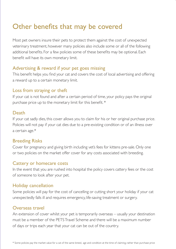## Other benefits that may be covered

Most pet owners insure their pets to protect them against the cost of unexpected veterinary treatment, however many policies also include some or all of the following additional benefits. For a few policies some of these benefits may be optional. Each benefit will have its own monetary limit.

#### Advertising & reward if your pet goes missing

This benefit helps you find your cat and covers the cost of local advertising and offering a reward up to a certain monetary limit.

#### Loss from straying or theft

If your cat is not found and after a certain period of time, your policy pays the original purchase price up to the monetary limit for this benefit. \*

#### Death

If your cat sadly dies, this cover allows you to claim for his or her original purchase price. Policies will not pay if your cat dies due to a pre-existing condition or of an illness over a certain age.\*

#### Breeding Risks

Cover for pregnancy and giving birth including vet's fees for kittens pre-sale. Only one or two policies on the market offer cover for any costs associated with breeding.

#### Cattery or homecare costs

In the event that you are rushed into hospital the policy covers cattery fees or the cost of someone to look after your pet.

#### Holiday cancellation

Some policies will pay for the cost of cancelling or cutting short your holiday if your cat unexpectedly falls ill and requires emergency, life-saving treatment or surgery.

#### Overseas travel

An extension of cover whilst your pet is temporarily overseas – usually your destination must be a member of the PETS Travel Scheme and there will be a maximum number of days or trips each year that your cat can be out of the country.